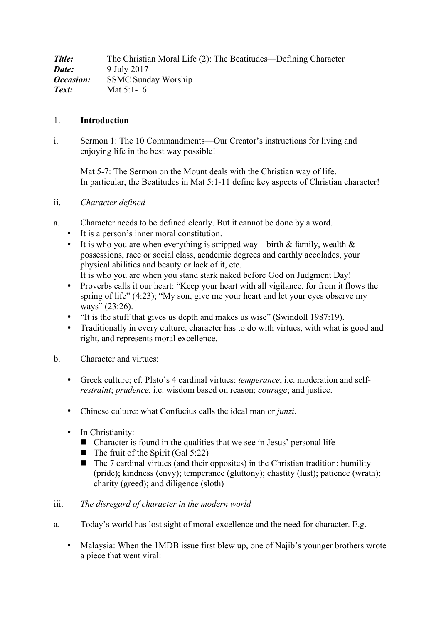| Title:                  | The Christian Moral Life (2): The Beatitudes—Defining Character |
|-------------------------|-----------------------------------------------------------------|
| Date:                   | 9 July 2017                                                     |
| <i><b>Occasion:</b></i> | <b>SSMC Sunday Worship</b>                                      |
| Text:                   | Mat $5:1-16$                                                    |

#### 1. **Introduction**

i. Sermon 1: The 10 Commandments—Our Creator's instructions for living and enjoying life in the best way possible!

Mat 5-7: The Sermon on the Mount deals with the Christian way of life. In particular, the Beatitudes in Mat 5:1-11 define key aspects of Christian character!

ii. *Character defined*

- a. Character needs to be defined clearly. But it cannot be done by a word.
	- It is a person's inner moral constitution.
	- It is who you are when everything is stripped way—birth & family, wealth  $\&$ possessions, race or social class, academic degrees and earthly accolades, your physical abilities and beauty or lack of it, etc.
	- It is who you are when you stand stark naked before God on Judgment Day! • Proverbs calls it our heart: "Keep your heart with all vigilance, for from it flows the
	- spring of life" (4:23); "My son, give me your heart and let your eyes observe my ways" (23:26).
	- "It is the stuff that gives us depth and makes us wise" (Swindoll 1987:19).
	- Traditionally in every culture, character has to do with virtues, with what is good and right, and represents moral excellence.
- b. Character and virtues:
	- Greek culture; cf. Plato's 4 cardinal virtues: *temperance*, i.e. moderation and self*restraint*; *prudence*, i.e. wisdom based on reason; *courage*; and justice.
	- Chinese culture: what Confucius calls the ideal man or *junzi*.
	- In Christianity:
		- $\blacksquare$  Character is found in the qualities that we see in Jesus' personal life
		- $\blacksquare$  The fruit of the Spirit (Gal 5:22)
		- $\blacksquare$  The 7 cardinal virtues (and their opposites) in the Christian tradition: humility (pride); kindness (envy); temperance (gluttony); chastity (lust); patience (wrath); charity (greed); and diligence (sloth)

#### iii. *The disregard of character in the modern world*

- a. Today's world has lost sight of moral excellence and the need for character. E.g.
	- Malaysia: When the 1MDB issue first blew up, one of Najib's younger brothers wrote a piece that went viral: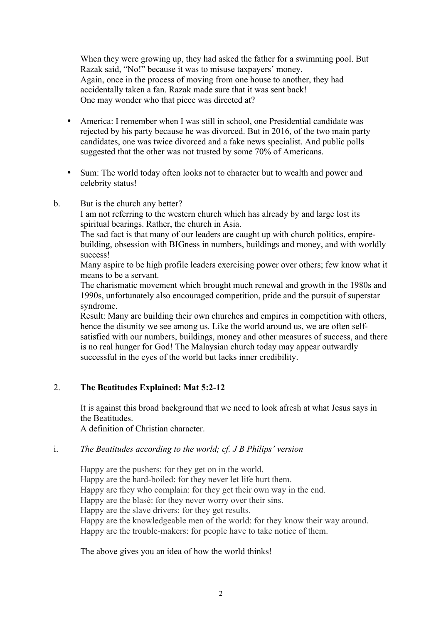When they were growing up, they had asked the father for a swimming pool. But Razak said, "No!" because it was to misuse taxpayers' money. Again, once in the process of moving from one house to another, they had accidentally taken a fan. Razak made sure that it was sent back! One may wonder who that piece was directed at?

- America: I remember when I was still in school, one Presidential candidate was rejected by his party because he was divorced. But in 2016, of the two main party candidates, one was twice divorced and a fake news specialist. And public polls suggested that the other was not trusted by some 70% of Americans.
- Sum: The world today often looks not to character but to wealth and power and celebrity status!
- b. But is the church any better?

I am not referring to the western church which has already by and large lost its spiritual bearings. Rather, the church in Asia.

The sad fact is that many of our leaders are caught up with church politics, empirebuilding, obsession with BIGness in numbers, buildings and money, and with worldly success!

Many aspire to be high profile leaders exercising power over others; few know what it means to be a servant.

The charismatic movement which brought much renewal and growth in the 1980s and 1990s, unfortunately also encouraged competition, pride and the pursuit of superstar syndrome.

Result: Many are building their own churches and empires in competition with others, hence the disunity we see among us. Like the world around us, we are often selfsatisfied with our numbers, buildings, money and other measures of success, and there is no real hunger for God! The Malaysian church today may appear outwardly successful in the eyes of the world but lacks inner credibility.

## 2. **The Beatitudes Explained: Mat 5:2-12**

It is against this broad background that we need to look afresh at what Jesus says in the Beatitudes.

A definition of Christian character.

## i. *The Beatitudes according to the world; cf. J B Philips' version*

Happy are the pushers: for they get on in the world. Happy are the hard-boiled: for they never let life hurt them. Happy are they who complain: for they get their own way in the end. Happy are the blasé: for they never worry over their sins. Happy are the slave drivers: for they get results. Happy are the knowledgeable men of the world: for they know their way around. Happy are the trouble-makers: for people have to take notice of them.

The above gives you an idea of how the world thinks!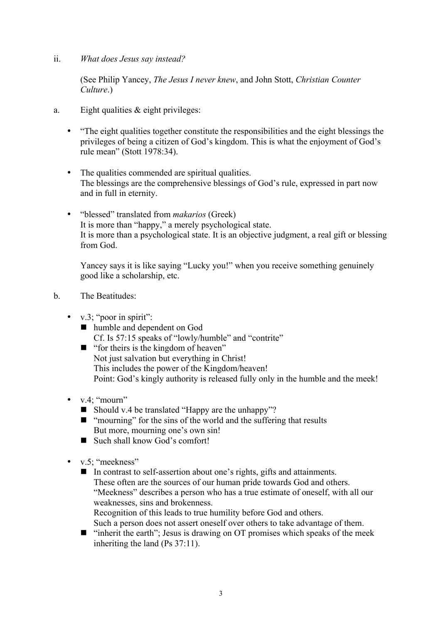ii. *What does Jesus say instead?*

(See Philip Yancey, *The Jesus I never knew*, and John Stott, *Christian Counter Culture*.)

- a. Eight qualities  $&$  eight privileges:
	- "The eight qualities together constitute the responsibilities and the eight blessings the privileges of being a citizen of God's kingdom. This is what the enjoyment of God's rule mean" (Stott 1978:34).
	- The qualities commended are spiritual qualities. The blessings are the comprehensive blessings of God's rule, expressed in part now and in full in eternity.
	- "blessed" translated from *makarios* (Greek) It is more than "happy," a merely psychological state. It is more than a psychological state. It is an objective judgment, a real gift or blessing from God.

Yancey says it is like saying "Lucky you!" when you receive something genuinely good like a scholarship, etc.

- b. The Beatitudes:
	- v.3; "poor in spirit":
		- humble and dependent on God Cf. Is 57:15 speaks of "lowly/humble" and "contrite"
		- $\blacksquare$  "for theirs is the kingdom of heaven" Not just salvation but everything in Christ! This includes the power of the Kingdom/heaven! Point: God's kingly authority is released fully only in the humble and the meek!
	- $v.4$ ; "mourn"
		- Should v.4 be translated "Happy are the unhappy"?
		- ! "mourning" for the sins of the world and the suffering that results But more, mourning one's own sin!
		- Such shall know God's comfort!
	- v.5; "meekness"
		- ! In contrast to self-assertion about one's rights, gifts and attainments. These often are the sources of our human pride towards God and others. "Meekness" describes a person who has a true estimate of oneself, with all our weaknesses, sins and brokenness. Recognition of this leads to true humility before God and others.
			- Such a person does not assert oneself over others to take advantage of them.
		- $\blacksquare$  "inherit the earth"; Jesus is drawing on OT promises which speaks of the meek inheriting the land (Ps 37:11).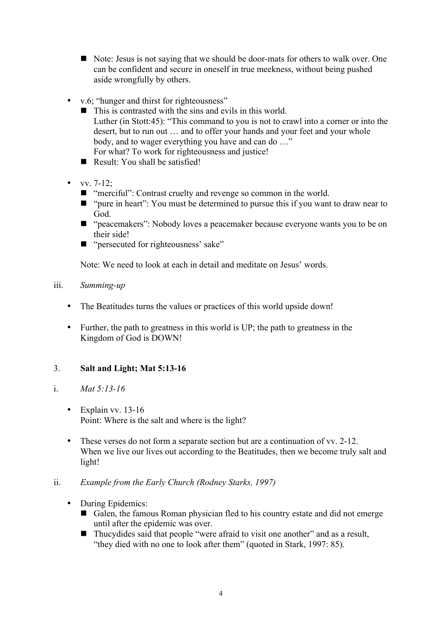- Note: Jesus is not saying that we should be door-mats for others to walk over. One can be confident and secure in oneself in true meekness, without being pushed aside wrongfully by others.
- v.6; "hunger and thirst for righteousness"
	- $\blacksquare$  This is contrasted with the sins and evils in this world. Luther (in Stott:45): "This command to you is not to crawl into a corner or into the desert, but to run out … and to offer your hands and your feet and your whole body, and to wager everything you have and can do ..." For what? To work for righteousness and justice!
	- Result: You shall be satisfied!
- vv.  $7-12$ ;
	- $\blacksquare$  "merciful": Contrast cruelty and revenge so common in the world.
	- $\blacksquare$  "pure in heart": You must be determined to pursue this if you want to draw near to God.
	- "peacemakers": Nobody loves a peacemaker because everyone wants you to be on their side!
	- "persecuted for righteousness' sake"

Note: We need to look at each in detail and meditate on Jesus' words.

## iii. *Summing-up*

- The Beatitudes turns the values or practices of this world upside down!
- Further, the path to greatness in this world is UP; the path to greatness in the Kingdom of God is DOWN!

# 3. **Salt and Light; Mat 5:13-16**

## i. *Mat 5:13-16*

- Explain vv. 13-16 Point: Where is the salt and where is the light?
- These verses do not form a separate section but are a continuation of vv. 2-12. When we live our lives out according to the Beatitudes, then we become truly salt and light!

## ii. *Example from the Early Church (Rodney Starks, 1997)*

- During Epidemics:
	- ! Galen, the famous Roman physician fled to his country estate and did not emerge until after the epidemic was over.
	- ! Thucydides said that people "were afraid to visit one another" and as a result, "they died with no one to look after them" (quoted in Stark, 1997: 85).